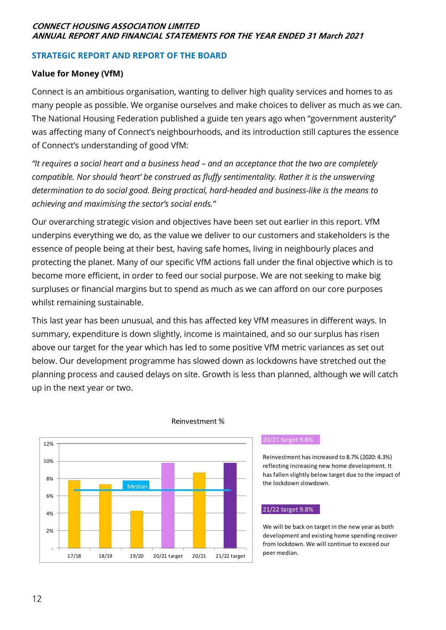# **CONNECT HOUSING ASSOCIATION LIMITED ANNUAL REPORT AND FINANCIAL STATEMENTS FOR THE YEAR ENDED 31 March 2021**

# **STRATEGIC REPORT AND REPORT OF THE BOARD**

# **Value for Money (VfM)**

Connect is an ambitious organisation, wanting to deliver high quality services and homes to as many people as possible. We organise ourselves and make choices to deliver as much as we can. The National Housing Federation published a guide ten years ago when "government austerity" was affecting many of Connect's neighbourhoods, and its introduction still captures the essence of Connect's understanding of good VfM:

*"It requires a social heart and a business head – and an acceptance that the two are completely compatible. Nor should 'heart' be construed as fluffy sentimentality. Rather it is the unswerving determination to do social good. Being practical, hard-headed and business-like is the means to achieving and maximising the sector's social ends."*

Our overarching strategic vision and objectives have been set out earlier in this report. VfM underpins everything we do, as the value we deliver to our customers and stakeholders is the essence of people being at their best, having safe homes, living in neighbourly places and protecting the planet. Many of our specific VfM actions fall under the final objective which is to become more efficient, in order to feed our social purpose. We are not seeking to make big surpluses or financial margins but to spend as much as we can afford on our core purposes whilst remaining sustainable.

This last year has been unusual, and this has affected key VfM measures in different ways. In summary, expenditure is down slightly, income is maintained, and so our surplus has risen above our target for the year which has led to some positive VfM metric variances as set out below. Our development programme has slowed down as lockdowns have stretched out the planning process and caused delays on site. Growth is less than planned, although we will catch up in the next year or two.



# Reinvestment %

## 20/21 target 9.8%

Reinvestment has increased to 8.7% (2020: 4.3%) reflecting increasing new home development. It has fallen slightly below target due to the impact of the lockdown slowdown.

## 21/22 target 9.8%

We will be back on target in the new year as both development and existing home spending recover from lockdown. We will continue to exceed our peer median.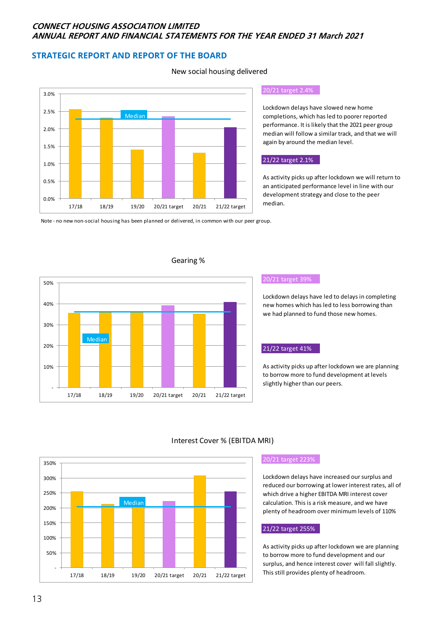# **CONNECT HOUSING ASSOCIATION LIMITED ANNUAL REPORT AND FINANCIAL STATEMENTS FOR THE YEAR ENDED 31 March 2021**

New social housing delivered

# **STRATEGIC REPORT AND REPORT OF THE BOARD**



# 20/21 target 2.4%

Lockdown delays have slowed new home completions, which has led to poorer reported performance. It is likely that the 2021 peer group median will follow a similar track, and that we will again by around the median level.

## 21/22 target 2.1%

As activity picks up after lockdown we will return to an anticipated performance level in line with our development strategy and close to the peer median.

Note - no new non-social housing has been planned or delivered, in common with our peer group.



### Gearing %

#### 20/21 target 39%

Lockdown delays have led to delays in completing new homes which has led to less borrowing than we had planned to fund those new homes.

### 21/22 target 41%

As activity picks up after lockdown we are planning to borrow more to fund development at levels slightly higher than our peers.



## Interest Cover % (EBITDA MRI)

#### 20/21 target 223%

Lockdown delays have increased our surplus and reduced our borrowing at lower interest rates, all of which drive a higher EBITDA MRI interest cover calculation. This is a risk measure, and we have plenty of headroom over minimum levels of 110%

## 21/22 target 255%

As activity picks up after lockdown we are planning to borrow more to fund development and our surplus, and hence interest cover will fall slightly. This still provides plenty of headroom.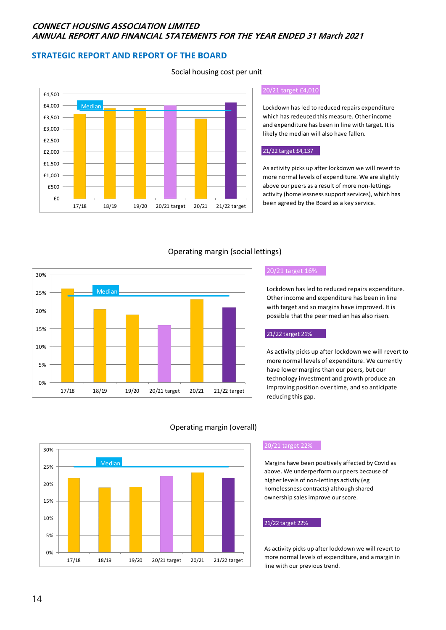# **CONNECT HOUSING ASSOCIATION LIMITED ANNUAL REPORT AND FINANCIAL STATEMENTS FOR THE YEAR ENDED 31 March 2021**

# **STRATEGIC REPORT AND REPORT OF THE BOARD**



### 20/21 target £4,010

Lockdown has led to reduced repairs expenditure which has redeuced this measure. Other income and expenditure has been in line with target. It is likely the median will also have fallen.

#### 21/22 target £4,137

As activity picks up after lockdown we will revert to more normal levels of expenditure. We are slightly above our peers as a result of more non-lettings activity (homelessness support services), which has been agreed by the Board as a key service.

# Operating margin (social lettings)



#### 20/21 target 16%

Lockdown has led to reduced repairs expenditure. Other income and expenditure has been in line with target and so margins have improved. It is possible that the peer median has also risen.

#### 21/22 target 21%

As activity picks up after lockdown we will revert to more normal levels of expenditure. We currently have lower margins than our peers, but our technology investment and growth produce an improving position over time, and so anticipate reducing this gap.



## Operating margin (overall)

### 20/21 target 22%

Margins have been positively affected by Covid as above. We underperform our peers because of higher levels of non-lettings activity (eg homelessness contracts) although shared ownership sales improve our score.

#### 21/22 target 22%

As activity picks up after lockdown we will revert to more normal levels of expenditure, and a margin in line with our previous trend.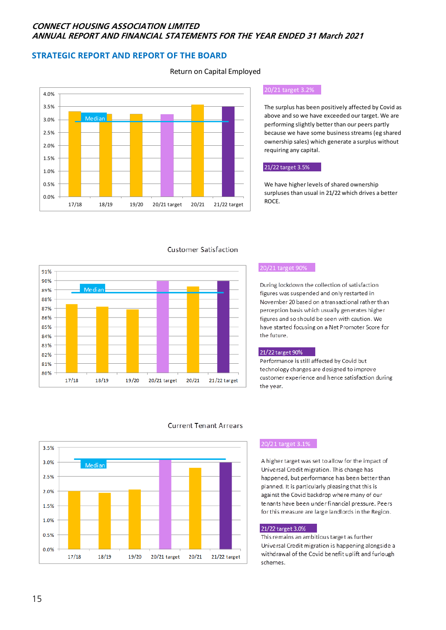# **CONNECT HOUSING ASSOCIATION LIMITED ANNUAL REPORT AND FINANCIAL STATEMENTS FOR THE YEAR ENDED 31 March 2021**

# **STRATEGIC REPORT AND REPORT OF THE BOARD**



#### 20/21 target 3.2%

The surplus has been positively affected by Covid as above and so we have exceeded our target. We are performing slightly better than our peers partly because we have some business streams (eg shared ownership sales) which generate a surplus without requiring any capital.

### 21/22 target 3.5%

We have higher levels of shared ownership surpluses than usual in 21/22 which drives a better ROCE.



#### **Customer Satisfaction**

#### 20/21 target 90%

During lockdown the collection of satisfaction figures was suspended and only restarted in November 20 based on a transactional rather than perception basis which usually generates higher figures and so should be seen with caution. We have started focusing on a Net Promoter Score for the future.

#### 21/22 target 90%

Performance is still affected by Covid but technology changes are designed to improve customer experience and hence satisfaction during the year.



### **Current Tenant Arrears**

## 20/21 target 3.1%

A higher target was set to allow for the impact of Universal Credit migration. This change has happened, but performance has been better than planned. It is particularly pleasing that this is against the Covid backdrop where many of our tenants have been under financial pressure. Peers for this measure are large landlords in the Region.

#### 21/22 target 3.0%

This remains an ambitious target as further Universal Credit migration is happening alongside a withdrawal of the Covid benefit uplift and furlough schemes.